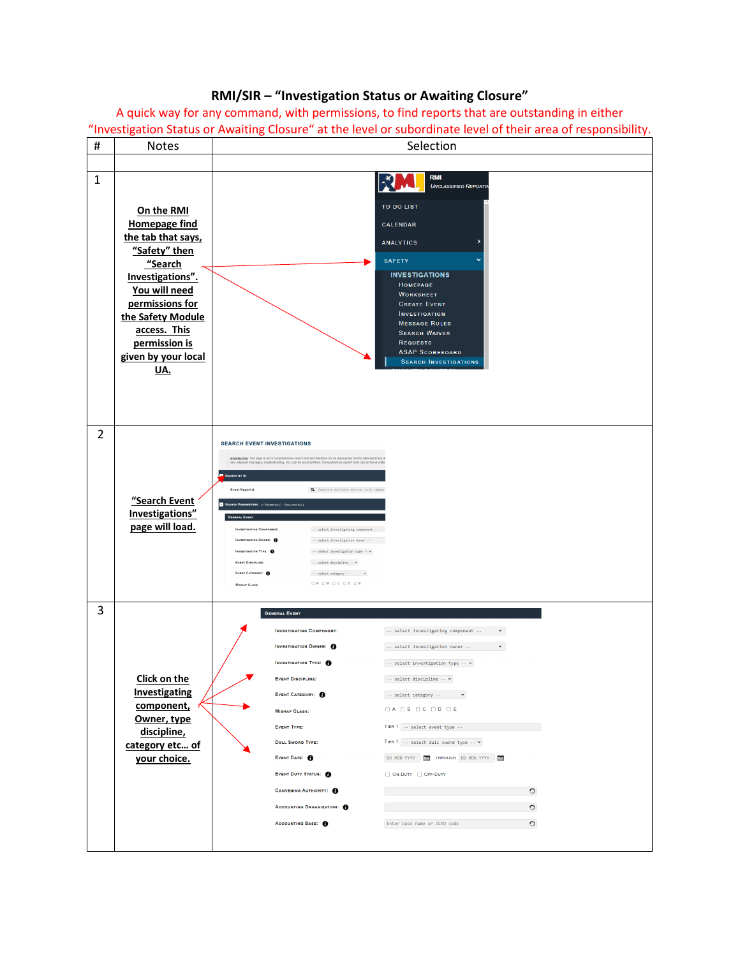## **RMI/SIR – "Investigation Status or Awaiting Closure"**

A quick way for any command, with permissions, to find reports that are outstanding in either "Investigation Status or Awaiting Closure" at the level or subordinate level of their area of responsibility.

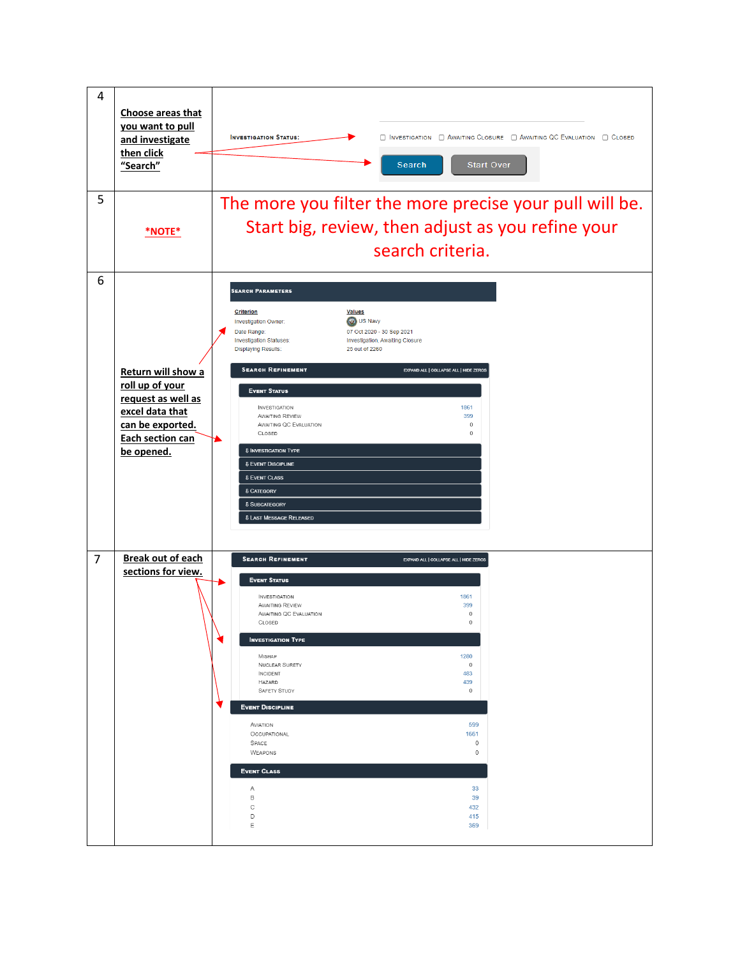